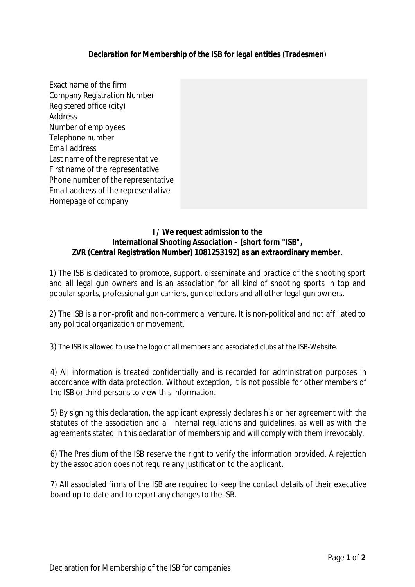**Declaration for Membership of the ISB for legal entities (Tradesmen**)

Exact name of the firm Company Registration Number Registered office (city) Address Number of employees Telephone number Email address Last name of the representative First name of the representative Phone number of the representative Email address of the representative Homepage of company

## **I / We request admission to the International Shooting Association – [short form "ISB", ZVR** *(Central Registration Number)* **1081253192] as an extraordinary member.**

1) The ISB is dedicated to promote, support, disseminate and practice of the shooting sport and all legal gun owners and is an association for all kind of shooting sports in top and popular sports, professional gun carriers, gun collectors and all other legal gun owners.

2) The ISB is a non-profit and non-commercial venture. It is non-political and not affiliated to any political organization or movement.

3) The ISB is allowed to use the logo of all members and associated clubs at the ISB-Website.

4) All information is treated confidentially and is recorded for administration purposes in accordance with data protection. Without exception, it is not possible for other members of the ISB or third persons to view this information.

5) By signing this declaration, the applicant expressly declares his or her agreement with the statutes of the association and all internal regulations and guidelines, as well as with the agreements stated in this declaration of membership and will comply with them irrevocably.

6) The Presidium of the ISB reserve the right to verify the information provided. A rejection by the association does not require any justification to the applicant.

7) All associated firms of the ISB are required to keep the contact details of their executive board up-to-date and to report any changes to the ISB.